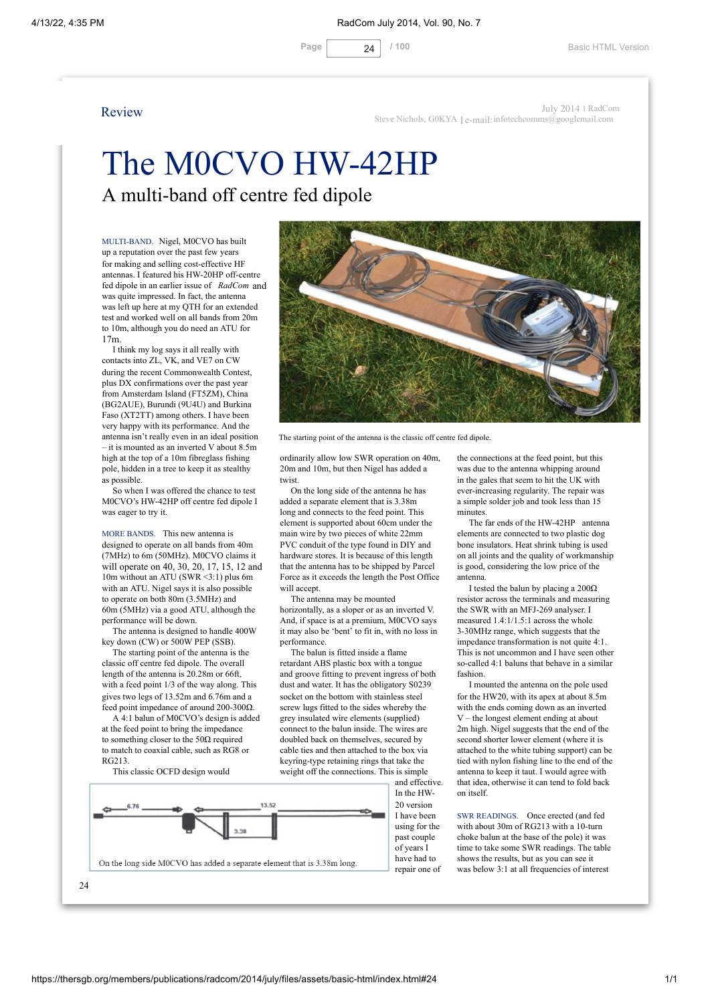

# The M0CVO HW-42HP A multi-band off centre fed dipole

MULTI-BAND. Nigel, M0CVO has built up a reputation over the past few years for making and selling cost-effective HF antennas. I featured his HW-20HP off-centre fed dipole in an earlier issue of *RadCom* and was quite impressed. In fact, the antenna was left up here at my QTH for an extended test and worked well on all bands from 20m to 10m, although you do need an ATU for 17m.

I think my log says it all really with contacts into ZL, VK, and VE7 on CW during the recent Commonwealth Contest, plus DX confirmations over the past year from Amsterdam Island (FT5ZM), China (BG2AUE), Burundi (9U4U) and Burkina Faso (XT2TT) among others. I have been very happy with its performance. And the antenna isn't really even in an ideal position – it is mounted as an inverted V about 8.5m high at the top of a 10m fibreglass fishing pole, hidden in a tree to keep it as stealthy as possible.

So when I was offered the chance to test M0CVO's HW-42HP off centre fed dipole I was eager to try it.

MORE BANDS. This new antenna is designed to operate on all bands from 40m (7MHz) to 6m (50MHz). M0CVO claims it will operate on 40, 30, 20, 17, 15, 12 and 10m without an ATU (SWR <3:1) plus 6m with an ATU. Nigel says it is also possible to operate on both 80m (3.5MHz) and 60m (5MHz) via a good ATU, although the performance will be down.

The antenna is designed to handle 400W key down (CW) or 500W PEP (SSB).

The starting point of the antenna is the classic off centre fed dipole. The overall length of the antenna is 20.28m or 66ft, with a feed point 1/3 of the way along. This gives two legs of 13.52m and 6.76m and a feed point impedance of around 200-300Ω.

A 4:1 balun of M0CVO's design is added at the feed point to bring the impedance to something closer to the  $50\Omega$  required to match to coaxial cable, such as RG8 or  $RG213$ 

This classic OCFD design would





The starting point of the antenna is the classic off centre fed dipole.

ordinarily allow low SWR operation on 40m, 20m and 10m, but then Nigel has added a twist.

On the long side of the antenna he has added a separate element that is 3.38m long and connects to the feed point. This element is supported about 60cm under the main wire by two pieces of white 22mm PVC conduit of the type found in DIY and hardware stores. It is because of this length that the antenna has to be shipped by Parcel Force as it exceeds the length the Post Office will accept.

The antenna may be mounted horizontally, as a sloper or as an inverted V. And, if space is at a premium, M0CVO says it may also be 'bent' to fit in, with no loss in performance.

The balun is fitted inside a flame retardant ABS plastic box with a tongue and groove fitting to prevent ingress of both dust and water. It has the obligatory S0239 socket on the bottom with stainless steel screw lugs fitted to the sides whereby the grey insulated wire elements (supplied) connect to the balun inside. The wires are doubled back on themselves, secured by cable ties and then attached to the box via keyring-type retaining rings that take the weight off the connections. This is simple

the connections at the feed point, but this was due to the antenna whipping around in the gales that seem to hit the UK with ever-increasing regularity. The repair was a simple solder job and took less than 15 minutes.

The far ends of the HW-42HP antenna elements are connected to two plastic dog bone insulators. Heat shrink tubing is used on all joints and the quality of workmanship is good, considering the low price of the antenna.

I tested the balun by placing a 200Ω resistor across the terminals and measuring the SWR with an MFI-269 analyser. I measured 1.4:1/1.5:1 across the whole 3-30MHz range, which suggests that the impedance transformation is not quite 4:1. This is not uncommon and I have seen other so-called 4:1 baluns that behave in a similar fashion.

I mounted the antenna on the pole used for the HW20, with its apex at about 8.5m with the ends coming down as an inverted V – the longest element ending at about 2m high. Nigel suggests that the end of the second shorter lower element (where it is attached to the white tubing support) can be tied with nylon fishing line to the end of the antenna to keep it taut. I would agree with that idea, otherwise it can tend to fold back on itself.

SWR READINGS. Once erected (and fed with about 30m of RG213 with a 10-turn choke balun at the base of the pole) it was time to take some SWR readings. The table shows the results, but as you can see it was below 3:1 at all frequencies of interest

24